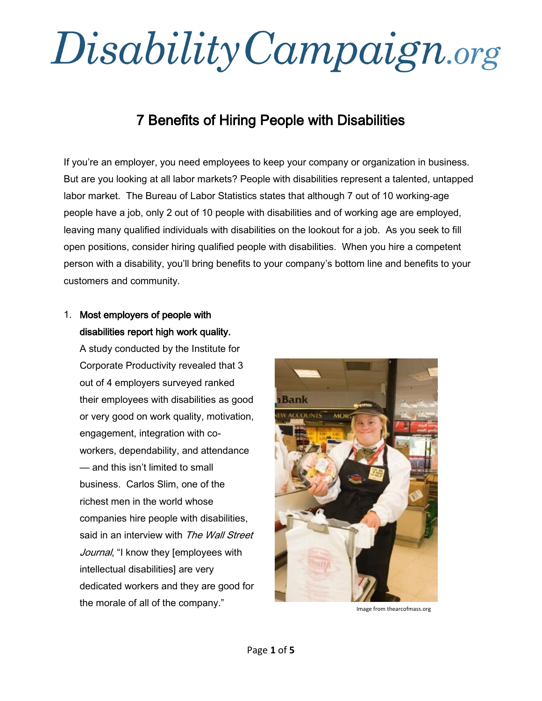## Disability Campaign.org

## 7 Benefits of Hiring People with Disabilities

If you're an employer, you need employees to keep your company or organization in business. But are you looking at all labor markets? People with disabilities represent a talented, untapped labor market. The Bureau of Labor Statistics states that although 7 out of 10 working-age people have a job, only 2 out of 10 people with disabilities and of working age are employed, leaving many qualified individuals with disabilities on the lookout for a job. As you seek to fill open positions, consider hiring qualified people with disabilities. When you hire a competent person with a disability, you'll bring benefits to your company's bottom line and benefits to your customers and community.

## 1. Most employers of people with disabilities report high work quality.

A study conducted by the Institute for Corporate Productivity revealed that 3 out of 4 employers surveyed ranked their employees with disabilities as good or very good on work quality, motivation, engagement, integration with coworkers, dependability, and attendance — and this isn't limited to small business. Carlos Slim, one of the richest men in the world whose companies hire people with disabilities, said in an interview with The Wall Street Journal, "I know they [employees with intellectual disabilities] are very dedicated workers and they are good for the morale of all of the company."



Image from thearcofmass.org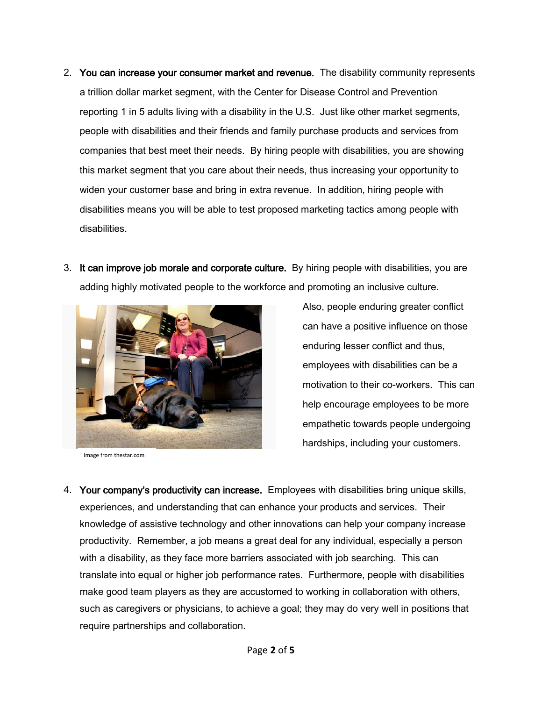- 2. You can increase your consumer market and revenue. The disability community represents a trillion dollar market segment, with the Center for Disease Control and Prevention reporting 1 in 5 adults living with a disability in the U.S. Just like other market segments, people with disabilities and their friends and family purchase products and services from companies that best meet their needs. By hiring people with disabilities, you are showing this market segment that you care about their needs, thus increasing your opportunity to widen your customer base and bring in extra revenue. In addition, hiring people with disabilities means you will be able to test proposed marketing tactics among people with disabilities.
- 3. It can improve job morale and corporate culture. By hiring people with disabilities, you are adding highly motivated people to the workforce and promoting an inclusive culture.



Image from thestar.com

Also, people enduring greater conflict can have a positive influence on those enduring lesser conflict and thus, employees with disabilities can be a motivation to their co-workers. This can help encourage employees to be more empathetic towards people undergoing hardships, including your customers.

4. Your company's productivity can increase. Employees with disabilities bring unique skills, experiences, and understanding that can enhance your products and services. Their knowledge of assistive technology and other innovations can help your company increase productivity. Remember, a job means a great deal for any individual, especially a person with a disability, as they face more barriers associated with job searching. This can translate into equal or higher job performance rates. Furthermore, people with disabilities make good team players as they are accustomed to working in collaboration with others, such as caregivers or physicians, to achieve a goal; they may do very well in positions that require partnerships and collaboration.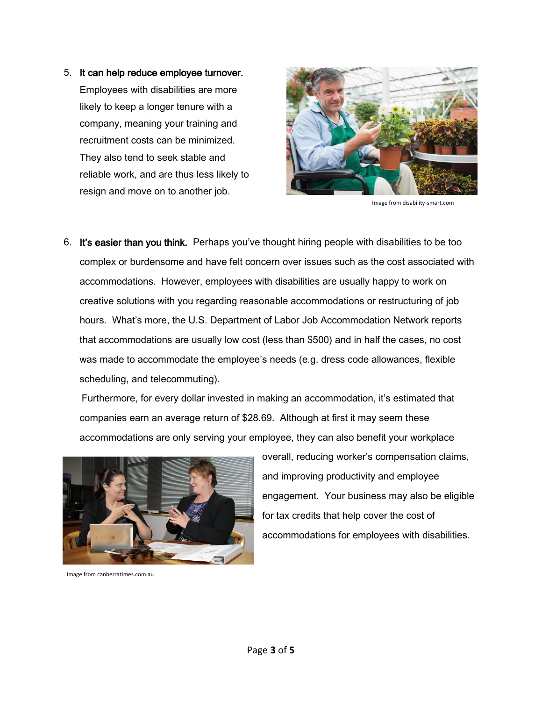5. It can help reduce employee turnover. Employees with disabilities are more likely to keep a longer tenure with a company, meaning your training and recruitment costs can be minimized. They also tend to seek stable and reliable work, and are thus less likely to resign and move on to another job.



Image from disability-smart.com

6. It's easier than you think. Perhaps you've thought hiring people with disabilities to be too complex or burdensome and have felt concern over issues such as the cost associated with accommodations. However, employees with disabilities are usually happy to work on creative solutions with you regarding reasonable accommodations or restructuring of job hours. What's more, the U.S. Department of Labor Job Accommodation Network reports that accommodations are usually low cost (less than \$500) and in half the cases, no cost was made to accommodate the employee's needs (e.g. dress code allowances, flexible scheduling, and telecommuting).

Furthermore, for every dollar invested in making an accommodation, it's estimated that companies earn an average return of \$28.69. Although at first it may seem these accommodations are only serving your employee, they can also benefit your workplace



Image from canberratimes.com.au

overall, reducing worker's compensation claims, and improving productivity and employee engagement. Your business may also be eligible for tax credits that help cover the cost of accommodations for employees with disabilities.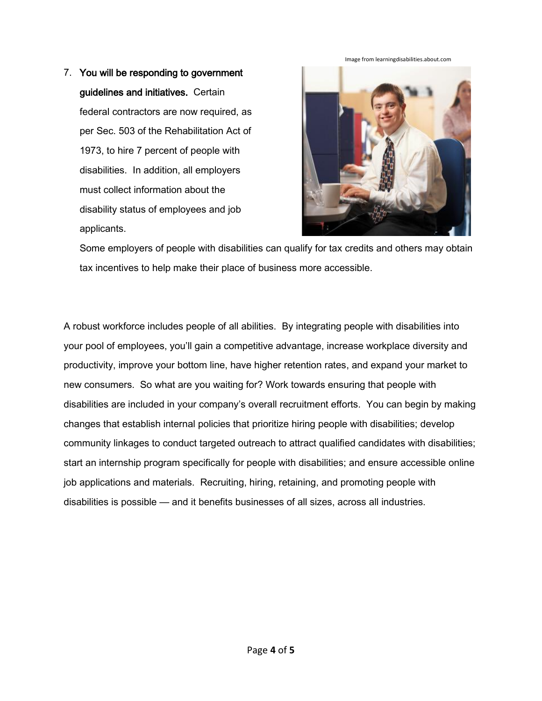7. You will be responding to government guidelines and initiatives. Certain federal contractors are now required, as per Sec. 503 of the Rehabilitation Act of 1973, to hire 7 percent of people with disabilities. In addition, all employers must collect information about the disability status of employees and job applicants.



Some employers of people with disabilities can qualify for tax credits and others may obtain tax incentives to help make their place of business more accessible.

A robust workforce includes people of all abilities. By integrating people with disabilities into your pool of employees, you'll gain a competitive advantage, increase workplace diversity and productivity, improve your bottom line, have higher retention rates, and expand your market to new consumers. So what are you waiting for? Work towards ensuring that people with disabilities are included in your company's overall recruitment efforts. You can begin by making changes that establish internal policies that prioritize hiring people with disabilities; develop community linkages to conduct targeted outreach to attract qualified candidates with disabilities; start an internship program specifically for people with disabilities; and ensure accessible online job applications and materials. Recruiting, hiring, retaining, and promoting people with disabilities is possible — and it benefits businesses of all sizes, across all industries.